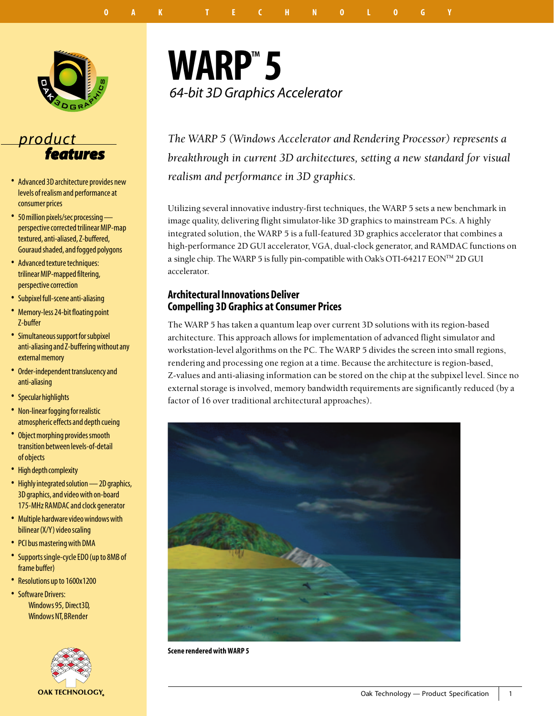

## *product features*

- . Advanced 3D architecture provides new levels of realism and performance at consumer prices
- . 50 million pixels/sec processing perspective corrected trilinear MIP-map textured, anti-aliased, Z-buffered, Gouraud shaded, and fogged polygons
- . Advanced texture techniques: trilinear MIP-mapped filtering, perspective correction
- . Subpixel full-scene anti-aliasing
- . Memory-less 24-bit floating point Z-buffer
- . Simultaneous support for subpixel anti-aliasing and Z-buffering without any external memory
- . Order-independent translucency and anti-aliasing
- . Specular highlights
- . Non-linear fogging for realistic atmospheric effects and depth cueing
- . Object morphing provides smooth transition between levels-of-detail of objects
- High depth complexity
- Highly integrated solution 2D graphics, 3D graphics, and video with on-board 175-MHz RAMDAC and clock generator
- . Multiple hardware video windows with bilinear (X/Y) video scaling
- . PCI bus mastering with DMA
- . Supports single-cycle EDO (up to 8MB of frame buffer)
- . Resolutions up to 1600x1200
- Software Drivers: Windows 95, Direct3D, Windows NT, BRender



## **WARP™ 5** *64-bit 3D Graphics Accelerator*

*The WARP 5 (Windows Accelerator and Rendering Processor) represents a breakthrough in current 3D architectures, setting a new standard for visual realism and performance in 3D graphics.*

Utilizing several innovative industry-first techniques, the WARP 5 sets a new benchmark in image quality, delivering flight simulator-like 3D graphics to mainstream PCs. A highly integrated solution, the WARP 5 is a full-featured 3D graphics accelerator that combines a high-performance 2D GUI accelerator, VGA, dual-clock generator, and RAMDAC functions on a single chip. The WARP 5 is fully pin-compatible with Oak's OTI-64217 EON™ 2D GUI accelerator.

### **Architectural Innovations Deliver Compelling 3D Graphics at Consumer Prices**

The WARP 5 has taken a quantum leap over current 3D solutions with its region-based architecture. This approach allows for implementation of advanced flight simulator and workstation-level algorithms on the PC. The WARP 5 divides the screen into small regions, rendering and processing one region at a time. Because the architecture is region-based, Z-values and anti-aliasing information can be stored on the chip at the subpixel level. Since no external storage is involved, memory bandwidth requirements are significantly reduced (by a factor of 16 over traditional architectural approaches).



**Scene rendered with WARP 5**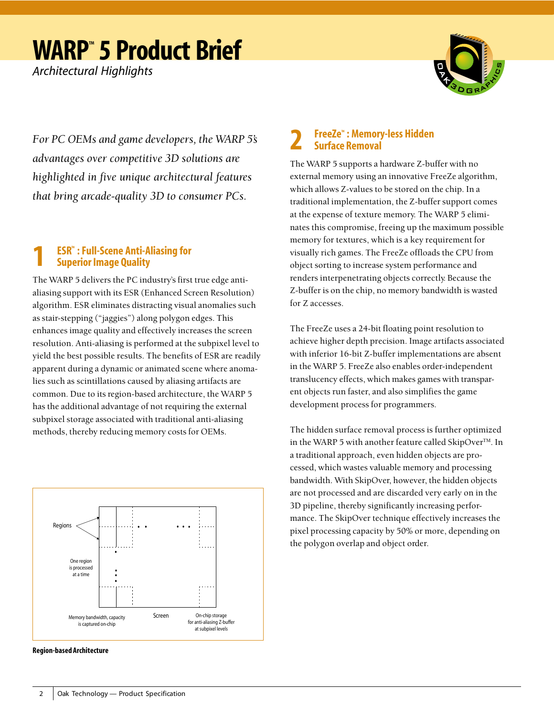*Architectural Highlights*



*For PC OEMs and game developers, the WARP 5's advantages over competitive 3D solutions are highlighted in five unique architectural features that bring arcade-quality 3D to consumer PCs.*

## **1 ESRTM : Full-Scene Anti-Aliasing for Superior Image Quality**

The WARP 5 delivers the PC industry's first true edge antialiasing support with its ESR (Enhanced Screen Resolution) algorithm. ESR eliminates distracting visual anomalies such as stair-stepping ("jaggies") along polygon edges. This enhances image quality and effectively increases the screen resolution. Anti-aliasing is performed at the subpixel level to yield the best possible results. The benefits of ESR are readily apparent during a dynamic or animated scene where anomalies such as scintillations caused by aliasing artifacts are common. Due to its region-based architecture, the WARP 5 has the additional advantage of not requiring the external subpixel storage associated with traditional anti-aliasing methods, thereby reducing memory costs for OEMs.



**Region-based Architecture**

### *FreeZe<sup>™</sup>: Memory-less Hidden* **Surface Removal**

The WARP 5 supports a hardware Z-buffer with no external memory using an innovative FreeZe algorithm, which allows Z-values to be stored on the chip. In a traditional implementation, the Z-buffer support comes at the expense of texture memory. The WARP 5 eliminates this compromise, freeing up the maximum possible memory for textures, which is a key requirement for visually rich games. The FreeZe offloads the CPU from object sorting to increase system performance and renders interpenetrating objects correctly. Because the Z-buffer is on the chip, no memory bandwidth is wasted for Z accesses.

The FreeZe uses a 24-bit floating point resolution to achieve higher depth precision. Image artifacts associated with inferior 16-bit Z-buffer implementations are absent in the WARP 5. FreeZe also enables order-independent translucency effects, which makes games with transparent objects run faster, and also simplifies the game development process for programmers.

The hidden surface removal process is further optimized in the WARP 5 with another feature called SkipOver™. In a traditional approach, even hidden objects are processed, which wastes valuable memory and processing bandwidth. With SkipOver, however, the hidden objects are not processed and are discarded very early on in the 3D pipeline, thereby significantly increasing performance. The SkipOver technique effectively increases the pixel processing capacity by 50% or more, depending on the polygon overlap and object order.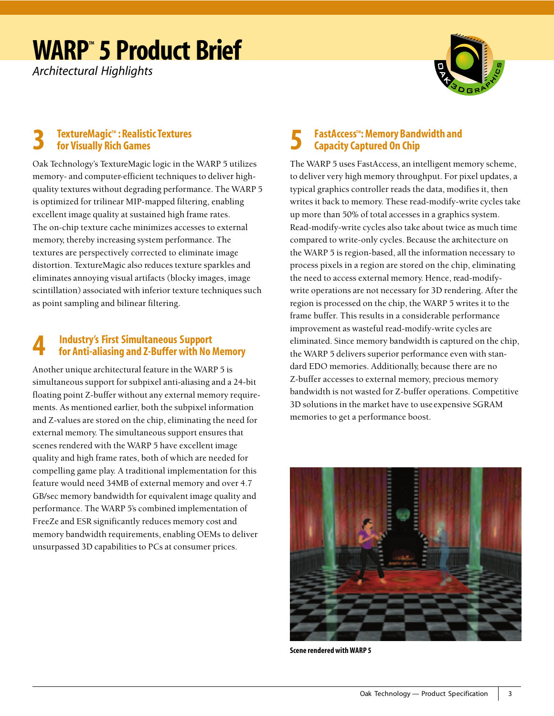*Architectural Highlights*



### **3 TextureMagicTM : Realistic Textures for Visually Rich Games**

Oak Technology's TextureMagic logic in the WARP 5 utilizes memory- and computer-efficient techniques to deliver highquality textures without degrading performance. The WARP 5 is optimized for trilinear MIP-mapped filtering, enabling excellent image quality at sustained high frame rates. The on-chip texture cache minimizes accesses to external memory, thereby increasing system performance. The textures are perspectively corrected to eliminate image distortion. TextureMagic also reduces texture sparkles and eliminates annoying visual artifacts (blocky images, image scintillation) associated with inferior texture techniques such as point sampling and bilinear filtering.

### **4 Industry's First Simultaneous Support for Anti-aliasing and Z-Buffer with No Memory**

Another unique architectural feature in the WARP 5 is simultaneous support for subpixel anti-aliasing and a 24-bit floating point Z-buffer without any external memory requirements. As mentioned earlier, both the subpixel information and Z-values are stored on the chip, eliminating the need for external memory. The simultaneous support ensures that scenes rendered with the WARP 5 have excellent image quality and high frame rates, both of which are needed for compelling game play. A traditional implementation for this feature would need 34MB of external memory and over 4.7 GB/sec memory bandwidth for equivalent image quality and performance. The WARP 5's combined implementation of FreeZe and ESR significantly reduces memory cost and memory bandwidth requirements, enabling OEMs to deliver unsurpassed 3D capabilities to PCs at consumer prices.

## **FastAccess™: Memory Bandwidth and Capacity Captured On Chip**

The WARP 5 uses FastAccess, an intelligent memory scheme, to deliver very high memory throughput. For pixel updates, a typical graphics controller reads the data, modifies it, then writes it back to memory. These read-modify-write cycles take up more than 50% of total accesses in a graphics system. Read-modify-write cycles also take about twice as much time compared to write-only cycles. Because the architecture on the WARP 5 is region-based, all the information necessary to process pixels in a region are stored on the chip, eliminating the need to access external memory. Hence, read-modifywrite operations are not necessary for 3D rendering. After the region is processed on the chip, the WARP 5 writes it to the frame buffer. This results in a considerable performance improvement as wasteful read-modify-write cycles are eliminated. Since memory bandwidth is captured on the chip, the WARP 5 delivers superior performance even with standard EDO memories. Additionally, because there are no Z-buffer accesses to external memory, precious memory bandwidth is not wasted for Z-buffer operations. Competitive 3D solutions in the market have to use expensive SGRAM memories to get a performance boost.



**Scene rendered with WARP 5**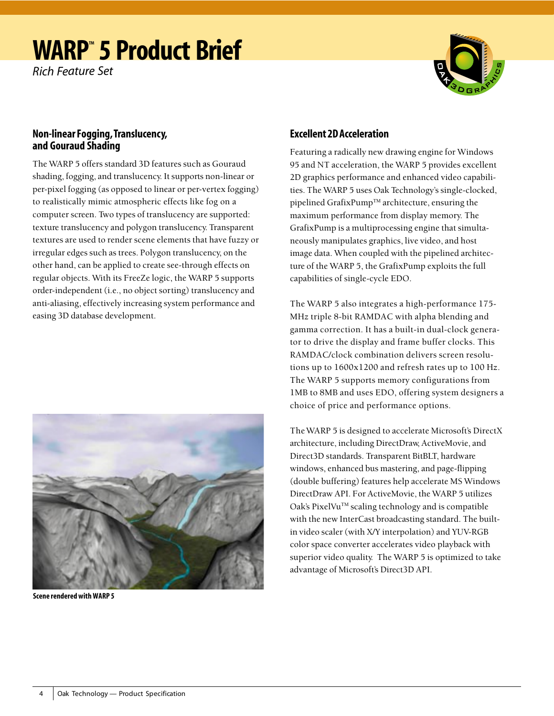*Rich Feature Set*



### **Non-linear Fogging, Translucency, and Gouraud Shading**

The WARP 5 offers standard 3D features such as Gouraud shading, fogging, and translucency. It supports non-linear or per-pixel fogging (as opposed to linear or per-vertex fogging) to realistically mimic atmospheric effects like fog on a computer screen. Two types of translucency are supported: texture translucency and polygon translucency. Transparent textures are used to render scene elements that have fuzzy or irregular edges such as trees. Polygon translucency, on the other hand, can be applied to create see-through effects on regular objects. With its FreeZe logic, the WARP 5 supports order-independent (i.e., no object sorting) translucency and anti-aliasing, effectively increasing system performance and easing 3D database development.



**Scene rendered with WARP 5**

### **Excellent 2D Acceleration**

Featuring a radically new drawing engine for Windows 95 and NT acceleration, the WARP 5 provides excellent 2D graphics performance and enhanced video capabilities. The WARP 5 uses Oak Technology's single-clocked, pipelined GrafixPump<sup>TM</sup> architecture, ensuring the maximum performance from display memory. The GrafixPump is a multiprocessing engine that simultaneously manipulates graphics, live video, and host image data. When coupled with the pipelined architecture of the WARP 5, the GrafixPump exploits the full capabilities of single-cycle EDO.

The WARP 5 also integrates a high-performance 175- MHz triple 8-bit RAMDAC with alpha blending and gamma correction. It has a built-in dual-clock generator to drive the display and frame buffer clocks. This RAMDAC/clock combination delivers screen resolutions up to 1600x1200 and refresh rates up to 100 Hz. The WARP 5 supports memory configurations from 1MB to 8MB and uses EDO, offering system designers a choice of price and performance options.

The WARP 5 is designed to accelerate Microsoft's DirectX architecture, including DirectDraw, ActiveMovie, and Direct3D standards. Transparent BitBLT, hardware windows, enhanced bus mastering, and page-flipping (double buffering) features help accelerate MS Windows DirectDraw API. For ActiveMovie, the WARP 5 utilizes Oak's PixelVu<sup>TM</sup> scaling technology and is compatible with the new InterCast broadcasting standard. The builtin video scaler (with X/Y interpolation) and YUV-RGB color space converter accelerates video playback with superior video quality. The WARP 5 is optimized to take advantage of Microsoft's Direct3D API.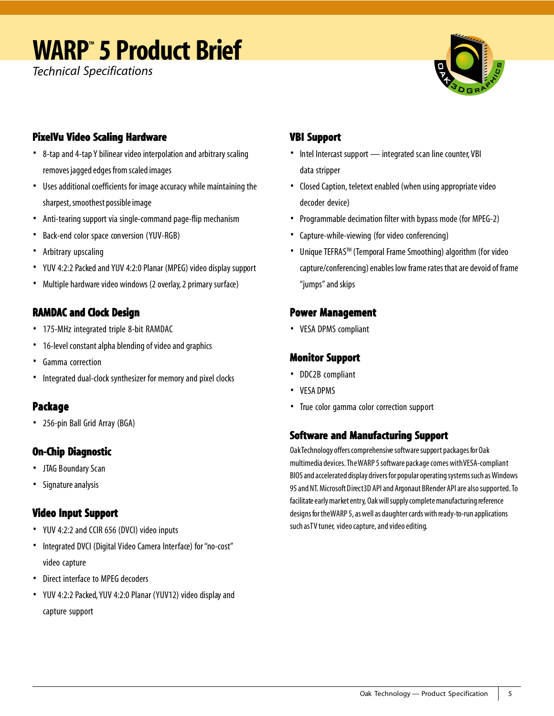*Technical Specifications*



## **PixelVu Video Scaling Hardware Hardware**

- . 8-tap and 4-tap Y bilinear video interpolation and arbitrary scaling removes jagged edges from scaled images
- . Uses additional coefficients for image accuracy while maintaining the sharpest, smoothest possible image
- . Anti-tearing support via single-command page-flip mechanism
- . Back-end color space conversion (YUV-RGB)
- . Arbitrary upscaling
- . YUV 4:2:2 Packed and YUV 4:2:0 Planar (MPEG) video display support
- . Multiple hardware video windows (2 overlay, 2 primary surface)

## **RAMDAC and Clock Design**

- . 175-MHz integrated triple 8-bit RAMDAC
- . 16-level constant alpha blending of video and graphics
- . Gamma correction
- . Integrated dual-clock synthesizer for memory and pixel clocks

## **Package**

. 256-pin Ball Grid Array (BGA)

## **On-Chip Diagnostic**

- . JTAG Boundary Scan
- . Signature analysis

## **Video Input Support Input Support**

- . YUV 4:2:2 and CCIR 656 (DVCI) video inputs
- . Integrated DVCI (Digital Video Camera Interface) for "no-cost" video capture
- . Direct interface to MPEG decoders
- . YUV 4:2:2 Packed, YUV 4:2:0 Planar (YUV12) video display and capture support

## **VBI Support VBI**

- . Intel Intercast support integrated scan line counter, VBI data stripper
- . Closed Caption, teletext enabled (when using appropriate video decoder device)
- . Programmable decimation filter with bypass mode (for MPEG-2)
- . Capture-while-viewing (for video conferencing)
- . Unique TEFRASTM (Temporal Frame Smoothing) algorithm (for video capture/conferencing) enables low frame rates that are devoid of frame "jumps" and skips

## **Power Management Power Management**

. VESA DPMS compliant

## **Monitor Support Monitor**

- . DDC2B compliant
- . VESA DPMS
- . True color gamma color correction support

### **Software and Manufacturing Support Software and Manufacturing Support**

Oak Technology offers comprehensive software support packages for Oak multimedia devices. The WARP 5 software package comes with VESA-compliant BIOS and accelerated display drivers for popular operating systems such as Windows 95 and NT. Microsoft Direct3D API and Argonaut BRender API are also supported. To facilitate early market entry, Oak will supply complete manufacturing reference designs for the WARP 5, as well as daughter cards with ready-to-run applications such as TV tuner, video capture, and video editing.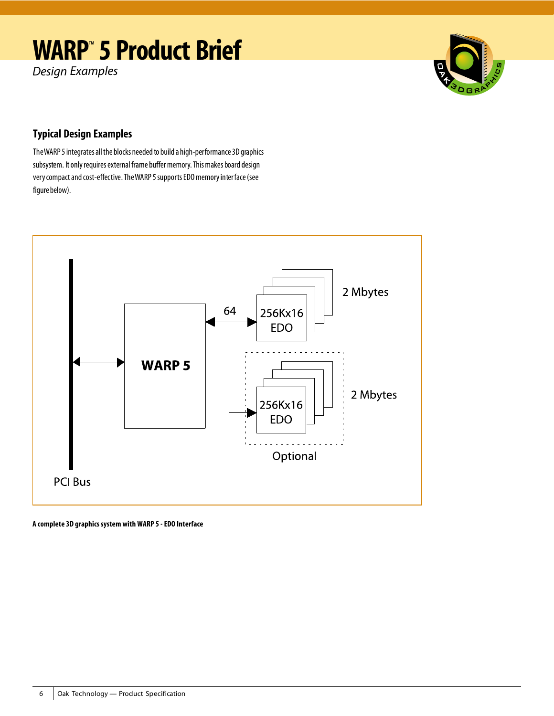*Design Examples*



## **Typical Design Examples**

The WARP 5 integrates all the blocks needed to build a high-performance 3D graphics subsystem. It only requires external frame buffer memory. This makes board design very compact and cost-effective. The WARP 5 supports EDO memory inter face (see figure below).



**A complete 3D graphics system with WARP 5 - EDO Interface**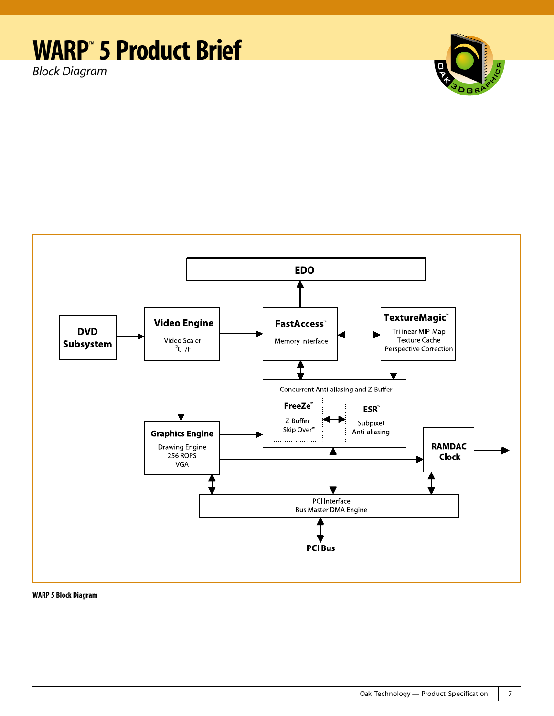*Block Diagram*





**WARP 5 Block Diagram**